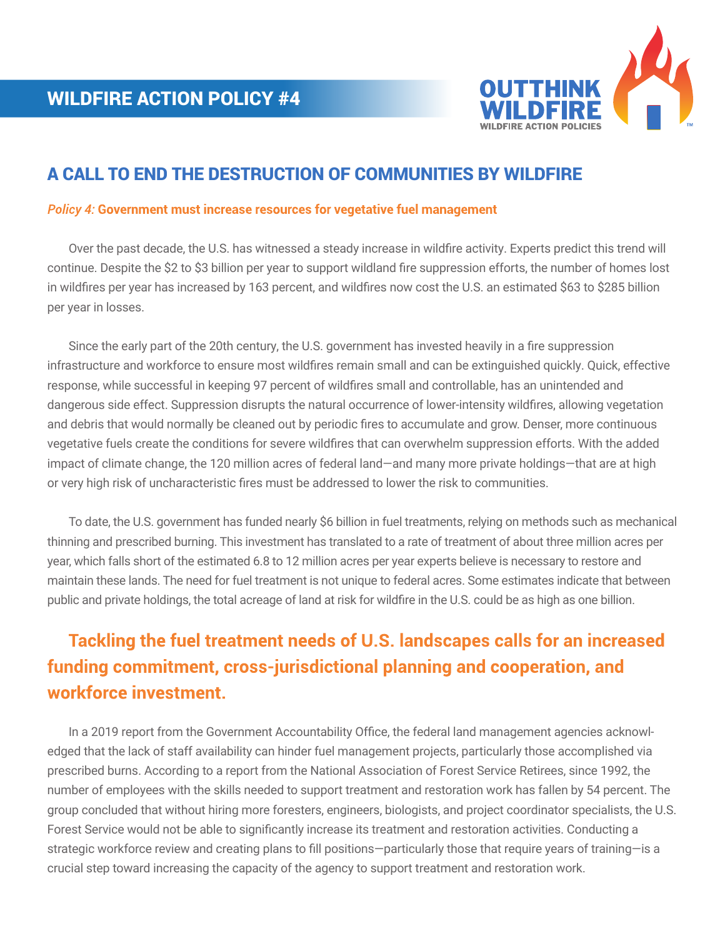

## A CALL TO END THE DESTRUCTION OF COMMUNITIES BY WILDFIRE

## *Policy 4:* **Government must increase resources for vegetative fuel management**

 Over the past decade, the U.S. has witnessed a steady increase in wildfire activity. Experts predict this trend will continue. Despite the \$2 to \$3 billion per year to support wildland fire suppression efforts, the number of homes lost in wildfires per year has increased by 163 percent, and wildfires now cost the U.S. an estimated \$63 to \$285 billion per year in losses.

 Since the early part of the 20th century, the U.S. government has invested heavily in a fire suppression infrastructure and workforce to ensure most wildfires remain small and can be extinguished quickly. Quick, effective response, while successful in keeping 97 percent of wildfires small and controllable, has an unintended and dangerous side effect. Suppression disrupts the natural occurrence of lower-intensity wildfires, allowing vegetation and debris that would normally be cleaned out by periodic fires to accumulate and grow. Denser, more continuous vegetative fuels create the conditions for severe wildfires that can overwhelm suppression efforts. With the added impact of climate change, the 120 million acres of federal land—and many more private holdings—that are at high or very high risk of uncharacteristic fires must be addressed to lower the risk to communities.

 To date, the U.S. government has funded nearly \$6 billion in fuel treatments, relying on methods such as mechanical thinning and prescribed burning. This investment has translated to a rate of treatment of about three million acres per year, which falls short of the estimated 6.8 to 12 million acres per year experts believe is necessary to restore and maintain these lands. The need for fuel treatment is not unique to federal acres. Some estimates indicate that between public and private holdings, the total acreage of land at risk for wildfire in the U.S. could be as high as one billion.

## **Tackling the fuel treatment needs of U.S. landscapes calls for an increased funding commitment, cross-jurisdictional planning and cooperation, and workforce investment.**

 In a 2019 report from the Government Accountability Office, the federal land management agencies acknowledged that the lack of staff availability can hinder fuel management projects, particularly those accomplished via prescribed burns. According to a report from the National Association of Forest Service Retirees, since 1992, the number of employees with the skills needed to support treatment and restoration work has fallen by 54 percent. The group concluded that without hiring more foresters, engineers, biologists, and project coordinator specialists, the U.S. Forest Service would not be able to significantly increase its treatment and restoration activities. Conducting a strategic workforce review and creating plans to fill positions—particularly those that require years of training—is a crucial step toward increasing the capacity of the agency to support treatment and restoration work.